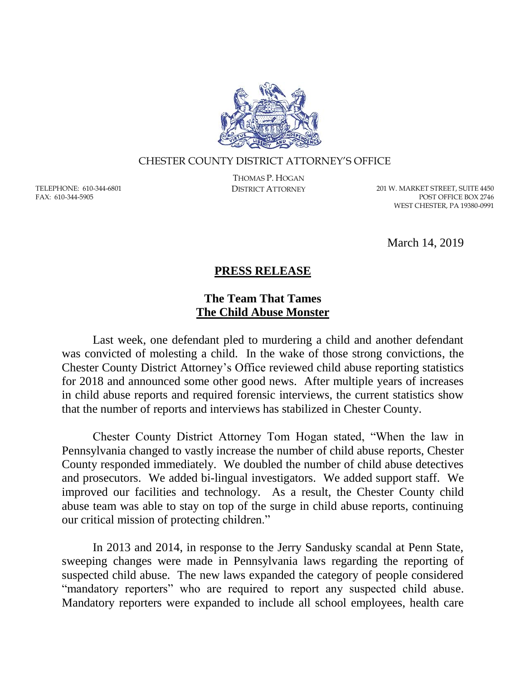

## CHESTER COUNTY DISTRICT ATTORNEY'S OFFICE

TELEPHONE: 610-344-6801 FAX: 610-344-5905

THOMAS P. HOGAN

DISTRICT ATTORNEY 201 W. MARKET STREET, SUITE 4450 POST OFFICE BOX 2746 WEST CHESTER, PA 19380-0991

March 14, 2019

## **PRESS RELEASE**

## **The Team That Tames The Child Abuse Monster**

Last week, one defendant pled to murdering a child and another defendant was convicted of molesting a child. In the wake of those strong convictions, the Chester County District Attorney's Office reviewed child abuse reporting statistics for 2018 and announced some other good news. After multiple years of increases in child abuse reports and required forensic interviews, the current statistics show that the number of reports and interviews has stabilized in Chester County.

Chester County District Attorney Tom Hogan stated, "When the law in Pennsylvania changed to vastly increase the number of child abuse reports, Chester County responded immediately. We doubled the number of child abuse detectives and prosecutors. We added bi-lingual investigators. We added support staff. We improved our facilities and technology. As a result, the Chester County child abuse team was able to stay on top of the surge in child abuse reports, continuing our critical mission of protecting children."

In 2013 and 2014, in response to the Jerry Sandusky scandal at Penn State, sweeping changes were made in Pennsylvania laws regarding the reporting of suspected child abuse. The new laws expanded the category of people considered "mandatory reporters" who are required to report any suspected child abuse. Mandatory reporters were expanded to include all school employees, health care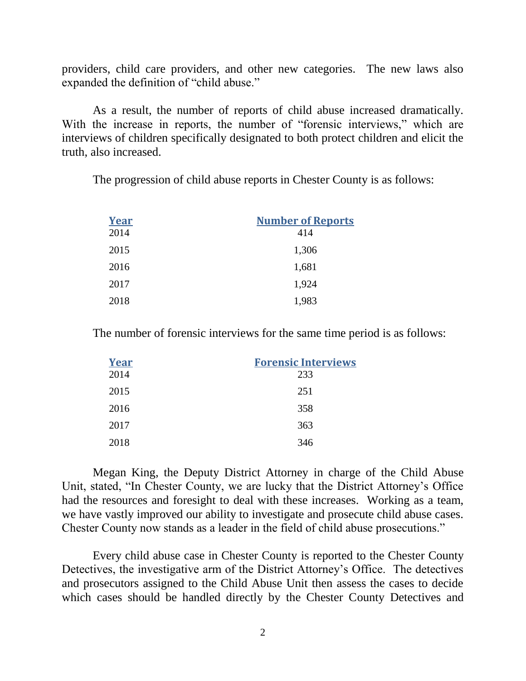providers, child care providers, and other new categories. The new laws also expanded the definition of "child abuse."

As a result, the number of reports of child abuse increased dramatically. With the increase in reports, the number of "forensic interviews," which are interviews of children specifically designated to both protect children and elicit the truth, also increased.

The progression of child abuse reports in Chester County is as follows:

| <b>Year</b> | <b>Number of Reports</b> |
|-------------|--------------------------|
| 2014        | 414                      |
| 2015        | 1,306                    |
| 2016        | 1,681                    |
| 2017        | 1,924                    |
| 2018        | 1,983                    |

The number of forensic interviews for the same time period is as follows:

| <b>Year</b> | <b>Forensic Interviews</b> |
|-------------|----------------------------|
| 2014        | 233                        |
| 2015        | 251                        |
| 2016        | 358                        |
| 2017        | 363                        |
| 2018        | 346                        |

Megan King, the Deputy District Attorney in charge of the Child Abuse Unit, stated, "In Chester County, we are lucky that the District Attorney's Office had the resources and foresight to deal with these increases. Working as a team, we have vastly improved our ability to investigate and prosecute child abuse cases. Chester County now stands as a leader in the field of child abuse prosecutions."

Every child abuse case in Chester County is reported to the Chester County Detectives, the investigative arm of the District Attorney's Office. The detectives and prosecutors assigned to the Child Abuse Unit then assess the cases to decide which cases should be handled directly by the Chester County Detectives and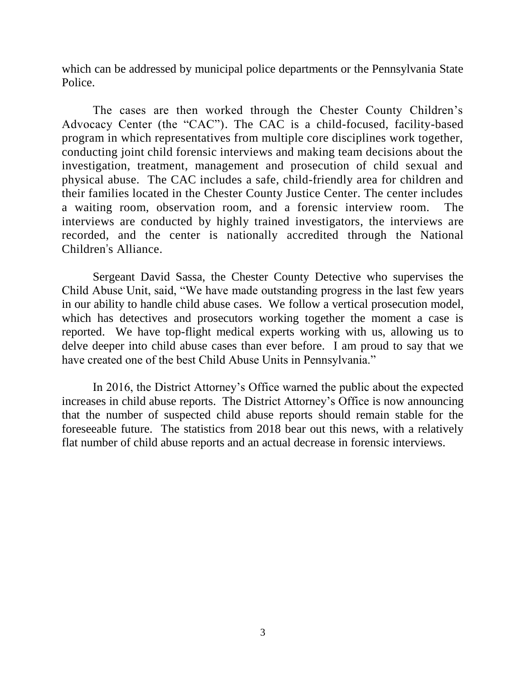which can be addressed by municipal police departments or the Pennsylvania State Police.

The cases are then worked through the Chester County Children's Advocacy Center (the "CAC"). The CAC is a child-focused, facility-based program in which representatives from multiple core disciplines work together, conducting joint child forensic interviews and making team decisions about the investigation, treatment, management and prosecution of child sexual and physical abuse. The CAC includes a safe, child-friendly area for children and their families located in the Chester County Justice Center. The center includes a waiting room, observation room, and a forensic interview room. The interviews are conducted by highly trained investigators, the interviews are recorded, and the center is nationally accredited through the National Children's Alliance.

Sergeant David Sassa, the Chester County Detective who supervises the Child Abuse Unit, said, "We have made outstanding progress in the last few years in our ability to handle child abuse cases. We follow a vertical prosecution model, which has detectives and prosecutors working together the moment a case is reported. We have top-flight medical experts working with us, allowing us to delve deeper into child abuse cases than ever before. I am proud to say that we have created one of the best Child Abuse Units in Pennsylvania."

In 2016, the District Attorney's Office warned the public about the expected increases in child abuse reports. The District Attorney's Office is now announcing that the number of suspected child abuse reports should remain stable for the foreseeable future. The statistics from 2018 bear out this news, with a relatively flat number of child abuse reports and an actual decrease in forensic interviews.